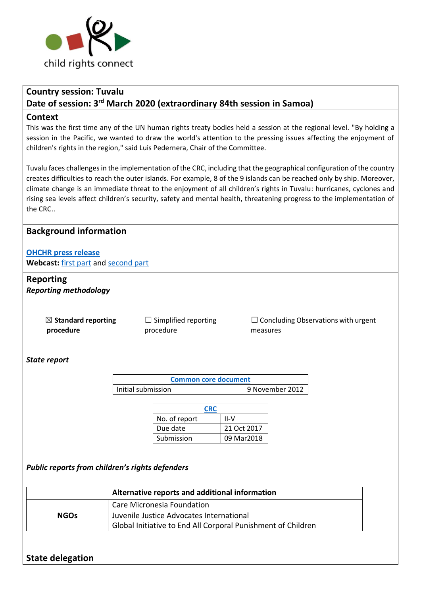

# **Country session: Tuvalu Date of session: 3 rd March 2020 (extraordinary 84th session in Samoa)**

#### **Context**

This was the first time any of the UN human rights treaty bodies held a session at the regional level. "By holding a session in the Pacific, we wanted to draw the world's attention to the pressing issues affecting the enjoyment of children's rights in the region," said Luis Pedernera, Chair of the Committee.

Tuvalu faces challenges in the implementation of the CRC, including that the geographical configuration of the country creates difficulties to reach the outer islands. For example, 8 of the 9 islands can be reached only by ship. Moreover, climate change is an immediate threat to the enjoyment of all children's rights in Tuvalu: hurricanes, cyclones and rising sea levels affect children's security, safety and mental health, threatening progress to the implementation of the CRC..

### **Background information**

### **[OHCHR press release](https://www.ohchr.org/EN/NewsEvents/Pages/DisplayNews.aspx?NewsID=25701&LangID=E)**

**Webcast:** [first part](http://webtv.un.org/meetings-events/human-rights-treaty-bodies/committee-on-the-rights-of-the-child/watch/consideration-of-tuvalu-2463rd-meeting-84th-extraordinary-session-committee-on-the-rights-of-the-child/6138231565001/?term=) an[d second part](http://webtv.un.org/meetings-events/human-rights-treaty-bodies/committee-on-the-rights-of-the-child/watch/consideration-of-tuvalu-contd-2464th-meeting-84th-extraordinary-session-committee-on-the-rights-of-the-child/6137907454001/?term=)

## **Reporting**

*Reporting methodology*

☒ **Standard reporting procedure**

 $\Box$  Simplified reporting procedure

 $\Box$  Concluding Observations with urgent measures

#### *State report*

| <b>Common core document</b> |                 |  |
|-----------------------------|-----------------|--|
| Initial submission          | 9 November 2012 |  |

| <b>CRC</b>    |             |
|---------------|-------------|
| No. of report | $II-V$      |
| Due date      | 21 Oct 2017 |
| Submission    | 09 Mar2018  |

*Public reports from children's rights defenders*

| Alternative reports and additional information |                                                                                                                                        |  |
|------------------------------------------------|----------------------------------------------------------------------------------------------------------------------------------------|--|
| <b>NGOs</b>                                    | Care Micronesia Foundation<br>Juvenile Justice Advocates International<br>Global Initiative to End All Corporal Punishment of Children |  |

## **State delegation**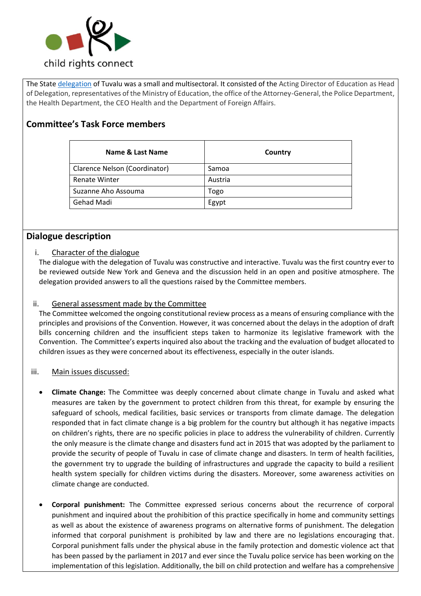

The State [delegation](http://webtv.un.org/meetings-events/human-rights-treaty-bodies/committee-on-the-rights-of-the-child/watch/consideration-of-tuvalu-contd-2464th-meeting-84th-extraordinary-session-committee-on-the-rights-of-the-child/6137907454001/?term=) of Tuvalu was a small and multisectoral. It consisted of the Acting Director of Education as Head of Delegation, representatives of the Ministry of Education, the office of the Attorney-General, the Police Department, the Health Department, the CEO Health and the Department of Foreign Affairs.

## **Committee's Task Force members**

| <b>Name &amp; Last Name</b>   | Country |
|-------------------------------|---------|
| Clarence Nelson (Coordinator) | Samoa   |
| <b>Renate Winter</b>          | Austria |
| Suzanne Aho Assouma           | Togo    |
| Gehad Madi                    | Egypt   |

## **Dialogue description**

#### i. Character of the dialogue

The dialogue with the delegation of Tuvalu was constructive and interactive. Tuvalu was the first country ever to be reviewed outside New York and Geneva and the discussion held in an open and positive atmosphere. The delegation provided answers to all the questions raised by the Committee members.

#### ii. General assessment made by the Committee

The Committee welcomed the ongoing constitutional review process as a means of ensuring compliance with the principles and provisions of the Convention. However, it was concerned about the delays in the adoption of draft bills concerning children and the insufficient steps taken to harmonize its legislative framework with the Convention. The Committee's experts inquired also about the tracking and the evaluation of budget allocated to children issues as they were concerned about its effectiveness, especially in the outer islands.

#### iii. Main issues discussed:

- **Climate Change:** The Committee was deeply concerned about climate change in Tuvalu and asked what measures are taken by the government to protect children from this threat, for example by ensuring the safeguard of schools, medical facilities, basic services or transports from climate damage. The delegation responded that in fact climate change is a big problem for the country but although it has negative impacts on children's rights, there are no specific policies in place to address the vulnerability of children. Currently the only measure is the climate change and disasters fund act in 2015 that was adopted by the parliament to provide the security of people of Tuvalu in case of climate change and disasters. In term of health facilities, the government try to upgrade the building of infrastructures and upgrade the capacity to build a resilient health system specially for children victims during the disasters. Moreover, some awareness activities on climate change are conducted.
- **Corporal punishment:** The Committee expressed serious concerns about the recurrence of corporal punishment and inquired about the prohibition of this practice specifically in home and community settings as well as about the existence of awareness programs on alternative forms of punishment. The delegation informed that corporal punishment is prohibited by law and there are no legislations encouraging that. Corporal punishment falls under the physical abuse in the family protection and domestic violence act that has been passed by the parliament in 2017 and ever since the Tuvalu police service has been working on the implementation of this legislation. Additionally, the bill on child protection and welfare has a comprehensive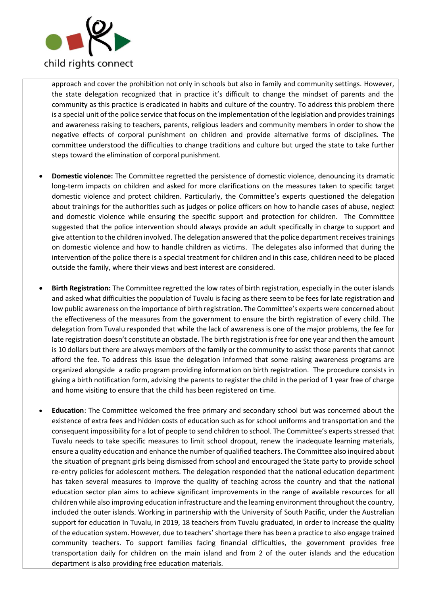

approach and cover the prohibition not only in schools but also in family and community settings. However, the state delegation recognized that in practice it's difficult to change the mindset of parents and the community as this practice is eradicated in habits and culture of the country. To address this problem there is a special unit of the police service that focus on the implementation of the legislation and provides trainings and awareness raising to teachers, parents, religious leaders and community members in order to show the negative effects of corporal punishment on children and provide alternative forms of disciplines. The committee understood the difficulties to change traditions and culture but urged the state to take further steps toward the elimination of corporal punishment.

- **Domestic violence:** The Committee regretted the persistence of domestic violence, denouncing its dramatic long-term impacts on children and asked for more clarifications on the measures taken to specific target domestic violence and protect children. Particularly, the Committee's experts questioned the delegation about trainings for the authorities such as judges or police officers on how to handle cases of abuse, neglect and domestic violence while ensuring the specific support and protection for children. The Committee suggested that the police intervention should always provide an adult specifically in charge to support and give attention to the children involved. The delegation answered that the police department receivestrainings on domestic violence and how to handle children as victims. The delegates also informed that during the intervention of the police there is a special treatment for children and in this case, children need to be placed outside the family, where their views and best interest are considered.
- **Birth Registration:** The Committee regretted the low rates of birth registration, especially in the outer islands and asked what difficulties the population of Tuvalu is facing as there seem to be fees for late registration and low public awareness on the importance of birth registration. The Committee's experts were concerned about the effectiveness of the measures from the government to ensure the birth registration of every child. The delegation from Tuvalu responded that while the lack of awareness is one of the major problems, the fee for late registration doesn't constitute an obstacle. The birth registration is free for one year and then the amount is 10 dollars but there are always members of the family or the community to assist those parents that cannot afford the fee. To address this issue the delegation informed that some raising awareness programs are organized alongside a radio program providing information on birth registration. The procedure consists in giving a birth notification form, advising the parents to register the child in the period of 1 year free of charge and home visiting to ensure that the child has been registered on time.
- **Education**: The Committee welcomed the free primary and secondary school but was concerned about the existence of extra fees and hidden costs of education such as for school uniforms and transportation and the consequent impossibility for a lot of people to send children to school. The Committee's experts stressed that Tuvalu needs to take specific measures to limit school dropout, renew the inadequate learning materials, ensure a quality education and enhance the number of qualified teachers. The Committee also inquired about the situation of pregnant girls being dismissed from school and encouraged the State party to provide school re-entry policies for adolescent mothers. The delegation responded that the national education department has taken several measures to improve the quality of teaching across the country and that the national education sector plan aims to achieve significant improvements in the range of available resources for all children while also improving education infrastructure and the learning environment throughout the country, included the outer islands. Working in partnership with the University of South Pacific, under the Australian support for education in Tuvalu, in 2019, 18 teachers from Tuvalu graduated, in order to increase the quality of the education system. However, due to teachers' shortage there has been a practice to also engage trained community teachers. To support families facing financial difficulties, the government provides free transportation daily for children on the main island and from 2 of the outer islands and the education department is also providing free education materials.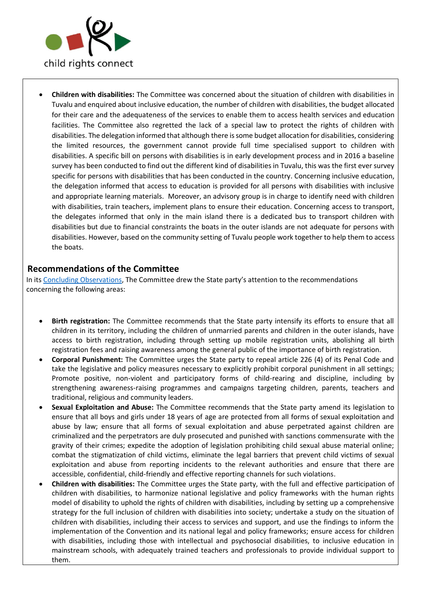

• **Children with disabilities:** The Committee was concerned about the situation of children with disabilities in Tuvalu and enquired about inclusive education, the number of children with disabilities, the budget allocated for their care and the adequateness of the services to enable them to access health services and education facilities. The Committee also regretted the lack of a special law to protect the rights of children with disabilities. The delegation informed that although there is some budget allocation for disabilities, considering the limited resources, the government cannot provide full time specialised support to children with disabilities. A specific bill on persons with disabilities is in early development process and in 2016 a baseline survey has been conducted to find out the different kind of disabilities in Tuvalu, this was the first ever survey specific for persons with disabilities that has been conducted in the country. Concerning inclusive education, the delegation informed that access to education is provided for all persons with disabilities with inclusive and appropriate learning materials. Moreover, an advisory group is in charge to identify need with children with disabilities, train teachers, implement plans to ensure their education. Concerning access to transport, the delegates informed that only in the main island there is a dedicated bus to transport children with disabilities but due to financial constraints the boats in the outer islands are not adequate for persons with disabilities. However, based on the community setting of Tuvalu people work together to help them to access the boats.

### **Recommendations of the Committee**

In its [Concluding Observations,](https://tbinternet.ohchr.org/_layouts/15/treatybodyexternal/Download.aspx?symbolno=CRC%2fC%2fPRT%2fCO%2f5-6&Lang=en) The Committee drew the State party's attention to the recommendations concerning the following areas:

- **Birth registration:** The Committee recommends that the State party intensify its efforts to ensure that all children in its territory, including the children of unmarried parents and children in the outer islands, have access to birth registration, including through setting up mobile registration units, abolishing all birth registration fees and raising awareness among the general public of the importance of birth registration.
- **Corporal Punishment:** The Committee urges the State party to repeal article 226 (4) of its Penal Code and take the legislative and policy measures necessary to explicitly prohibit corporal punishment in all settings; Promote positive, non-violent and participatory forms of child-rearing and discipline, including by strengthening awareness-raising programmes and campaigns targeting children, parents, teachers and traditional, religious and community leaders.
- **Sexual Exploitation and Abuse:** The Committee recommends that the State party amend its legislation to ensure that all boys and girls under 18 years of age are protected from all forms of sexual exploitation and abuse by law; ensure that all forms of sexual exploitation and abuse perpetrated against children are criminalized and the perpetrators are duly prosecuted and punished with sanctions commensurate with the gravity of their crimes; expedite the adoption of legislation prohibiting child sexual abuse material online; combat the stigmatization of child victims, eliminate the legal barriers that prevent child victims of sexual exploitation and abuse from reporting incidents to the relevant authorities and ensure that there are accessible, confidential, child-friendly and effective reporting channels for such violations.
- **Children with disabilities:** The Committee urges the State party, with the full and effective participation of children with disabilities, to harmonize national legislative and policy frameworks with the human rights model of disability to uphold the rights of children with disabilities, including by setting up a comprehensive strategy for the full inclusion of children with disabilities into society; undertake a study on the situation of children with disabilities, including their access to services and support, and use the findings to inform the implementation of the Convention and its national legal and policy frameworks; ensure access for children with disabilities, including those with intellectual and psychosocial disabilities, to inclusive education in mainstream schools, with adequately trained teachers and professionals to provide individual support to them.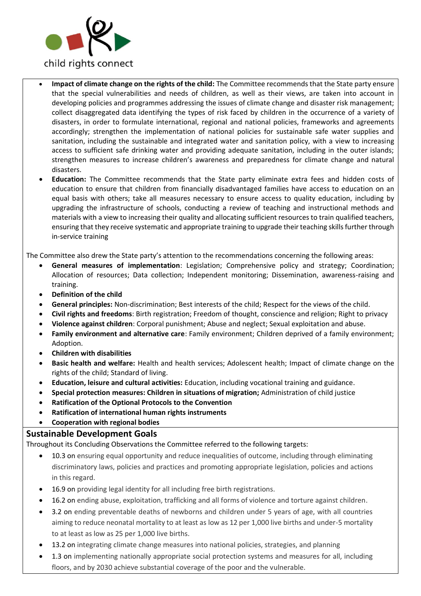

- **Impact of climate change on the rights of the child:** The Committee recommends that the State party ensure that the special vulnerabilities and needs of children, as well as their views, are taken into account in developing policies and programmes addressing the issues of climate change and disaster risk management; collect disaggregated data identifying the types of risk faced by children in the occurrence of a variety of disasters, in order to formulate international, regional and national policies, frameworks and agreements accordingly; strengthen the implementation of national policies for sustainable safe water supplies and sanitation, including the sustainable and integrated water and sanitation policy, with a view to increasing access to sufficient safe drinking water and providing adequate sanitation, including in the outer islands; strengthen measures to increase children's awareness and preparedness for climate change and natural disasters.
- **Education:** The Committee recommends that the State party eliminate extra fees and hidden costs of education to ensure that children from financially disadvantaged families have access to education on an equal basis with others; take all measures necessary to ensure access to quality education, including by upgrading the infrastructure of schools, conducting a review of teaching and instructional methods and materials with a view to increasing their quality and allocating sufficient resources to train qualified teachers, ensuring that they receive systematic and appropriate training to upgrade their teaching skills further through in-service training

The Committee also drew the State party's attention to the recommendations concerning the following areas:

- **General measures of implementation**: Legislation; Comprehensive policy and strategy; Coordination; Allocation of resources; Data collection; Independent monitoring; Dissemination, awareness-raising and training.
- **Definition of the child**
- **General principles:** Non-discrimination; Best interests of the child; Respect for the views of the child.
- **Civil rights and freedoms**: Birth registration; Freedom of thought, conscience and religion; Right to privacy
- **Violence against children**: Corporal punishment; Abuse and neglect; Sexual exploitation and abuse.
- **Family environment and alternative care**: Family environment; Children deprived of a family environment; Adoption.
- **Children with disabilities**
- **Basic health and welfare:** Health and health services; Adolescent health; Impact of climate change on the rights of the child; Standard of living.
- **Education, leisure and cultural activities:** Education, including vocational training and guidance.
- **Special protection measures: Children in situations of migration;** Administration of child justice
- **Ratification of the Optional Protocols to the Convention**
- **Ratification of international human rights instruments**
- **Cooperation with regional bodies**

#### **Sustainable Development Goals**

Throughout its Concluding Observations the Committee referred to the following targets:

- 10.3 on ensuring equal opportunity and reduce inequalities of outcome, including through eliminating discriminatory laws, policies and practices and promoting appropriate legislation, policies and actions in this regard.
- 16.9 on providing legal identity for all including free birth registrations.
- 16.2 on ending abuse, exploitation, trafficking and all forms of violence and torture against children.
- 3.2 on ending preventable deaths of newborns and children under 5 years of age, with all countries aiming to reduce neonatal mortality to at least as low as 12 per 1,000 live births and under-5 mortality to at least as low as 25 per 1,000 live births.
- 13.2 on integrating climate change measures into national policies, strategies, and planning
- 1.3 on implementing nationally appropriate social protection systems and measures for all, including floors, and by 2030 achieve substantial coverage of the poor and the vulnerable.